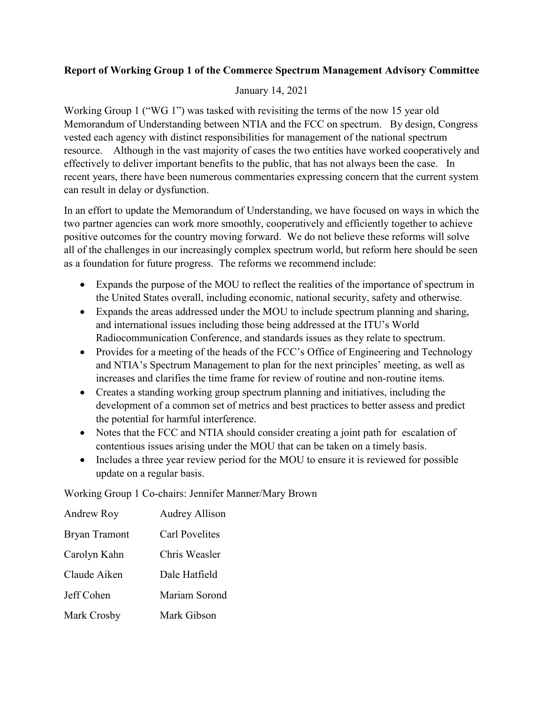## **Report of Working Group 1 of the Commerce Spectrum Management Advisory Committee**

## January 14, 2021

Working Group 1 ("WG 1") was tasked with revisiting the terms of the now 15 year old Memorandum of Understanding between NTIA and the FCC on spectrum. By design, Congress vested each agency with distinct responsibilities for management of the national spectrum resource. Although in the vast majority of cases the two entities have worked cooperatively and effectively to deliver important benefits to the public, that has not always been the case. In recent years, there have been numerous commentaries expressing concern that the current system can result in delay or dysfunction.

In an effort to update the Memorandum of Understanding, we have focused on ways in which the two partner agencies can work more smoothly, cooperatively and efficiently together to achieve positive outcomes for the country moving forward. We do not believe these reforms will solve all of the challenges in our increasingly complex spectrum world, but reform here should be seen as a foundation for future progress. The reforms we recommend include:

- Expands the purpose of the MOU to reflect the realities of the importance of spectrum in the United States overall, including economic, national security, safety and otherwise.
- Expands the areas addressed under the MOU to include spectrum planning and sharing, and international issues including those being addressed at the ITU's World Radiocommunication Conference, and standards issues as they relate to spectrum.
- Provides for a meeting of the heads of the FCC's Office of Engineering and Technology and NTIA's Spectrum Management to plan for the next principles' meeting, as well as increases and clarifies the time frame for review of routine and non-routine items.
- Creates a standing working group spectrum planning and initiatives, including the development of a common set of metrics and best practices to better assess and predict the potential for harmful interference.
- Notes that the FCC and NTIA should consider creating a joint path for escalation of contentious issues arising under the MOU that can be taken on a timely basis.
- Includes a three year review period for the MOU to ensure it is reviewed for possible update on a regular basis.

Working Group 1 Co-chairs: Jennifer Manner/Mary Brown

| Andrew Roy           | <b>Audrey Allison</b> |
|----------------------|-----------------------|
| <b>Bryan Tramont</b> | <b>Carl Povelites</b> |
| Carolyn Kahn         | Chris Weasler         |
| Claude Aiken         | Dale Hatfield         |
| Jeff Cohen           | Mariam Sorond         |
| Mark Crosby          | Mark Gibson           |